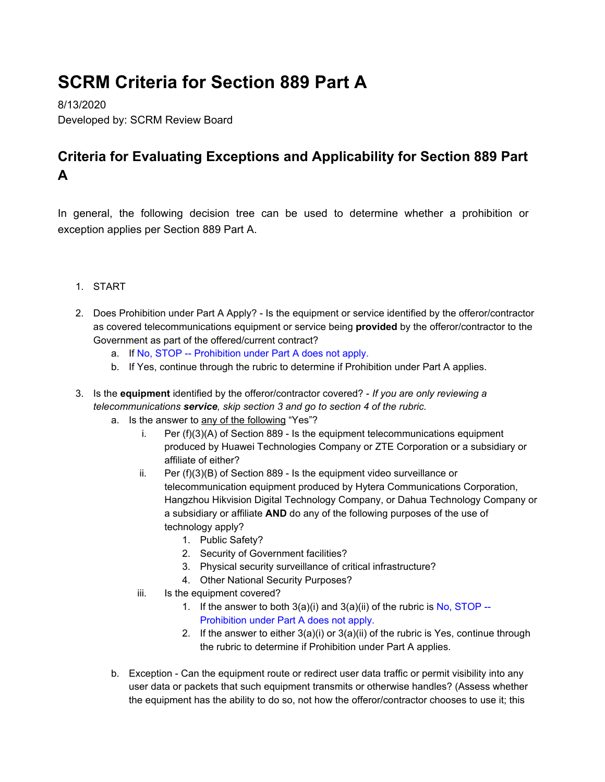## **SCRM Criteria for Section 889 Part A**

8/13/2020 Developed by: SCRM Review Board

## **Criteria for Evaluating Exceptions and Applicability for Section 889 Part A**

In general, the following decision tree can be used to determine whether a prohibition or exception applies per Section 889 Part A.

- 1. START
- 2. Does Prohibition under Part A Apply? Is the equipment or service identified by the offeror/contractor as covered telecommunications equipment or service being **provided** by the offeror/contractor to the Government as part of the offered/current contract?
	- a. If No, STOP -- Prohibition under Part A does not apply.
	- b. If Yes, continue through the rubric to determine if Prohibition under Part A applies.
- 3. Is the **equipment** identified by the offeror/contractor covered? *If you are only reviewing a telecommunications service, skip section 3 and go to section 4 of the rubric.*
	- a. Is the answer to any of the following "Yes"?
		- i. Per (f)(3)(A) of Section 889 Is the equipment telecommunications equipment produced by Huawei Technologies Company or ZTE Corporation or a subsidiary or affiliate of either?
		- ii. Per (f)(3)(B) of Section 889 Is the equipment video surveillance or telecommunication equipment produced by Hytera Communications Corporation, Hangzhou Hikvision Digital Technology Company, or Dahua Technology Company or a subsidiary or affiliate **AND** do any of the following purposes of the use of technology apply?
			- 1. Public Safety?
			- 2. Security of Government facilities?
			- 3. Physical security surveillance of critical infrastructure?
			- 4. Other National Security Purposes?
		- iii. Is the equipment covered?
			- 1. If the answer to both  $3(a)(i)$  and  $3(a)(ii)$  of the rubric is No, STOP --Prohibition under Part A does not apply.
			- 2. If the answer to either  $3(a)(i)$  or  $3(a)(ii)$  of the rubric is Yes, continue through the rubric to determine if Prohibition under Part A applies.
	- b. Exception Can the equipment route or redirect user data traffic or permit visibility into any user data or packets that such equipment transmits or otherwise handles? (Assess whether the equipment has the ability to do so, not how the offeror/contractor chooses to use it; this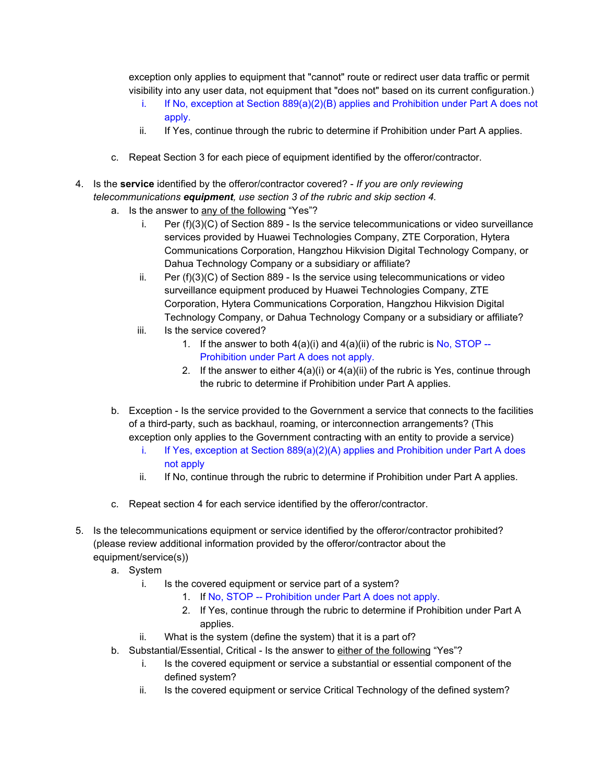exception only applies to equipment that "cannot" route or redirect user data traffic or permit visibility into any user data, not equipment that "does not" based on its current configuration.)

- i. If No, exception at Section  $889(a)(2)(B)$  applies and Prohibition under Part A does not apply.
- ii. If Yes, continue through the rubric to determine if Prohibition under Part A applies.
- c. Repeat Section 3 for each piece of equipment identified by the offeror/contractor.
- 4. Is the **service** identified by the offeror/contractor covered? *If you are only reviewing telecommunications equipment, use section 3 of the rubric and skip section 4.*
	- a. Is the answer to any of the following "Yes"?
		- i. Per (f)(3)(C) of Section 889 Is the service telecommunications or video surveillance services provided by Huawei Technologies Company, ZTE Corporation, Hytera Communications Corporation, Hangzhou Hikvision Digital Technology Company, or Dahua Technology Company or a subsidiary or affiliate?
		- ii. Per (f)(3)(C) of Section 889 Is the service using telecommunications or video surveillance equipment produced by Huawei Technologies Company, ZTE Corporation, Hytera Communications Corporation, Hangzhou Hikvision Digital Technology Company, or Dahua Technology Company or a subsidiary or affiliate?
		- iii. Is the service covered?
			- 1. If the answer to both  $4(a)(i)$  and  $4(a)(ii)$  of the rubric is No, STOP --Prohibition under Part A does not apply.
			- 2. If the answer to either  $4(a)(i)$  or  $4(a)(ii)$  of the rubric is Yes, continue through the rubric to determine if Prohibition under Part A applies.
	- b. Exception Is the service provided to the Government a service that connects to the facilities of a third-party, such as backhaul, roaming, or interconnection arrangements? (This exception only applies to the Government contracting with an entity to provide a service)
		- i. If Yes, exception at Section 889(a)(2)(A) applies and Prohibition under Part A does not apply
		- ii. If No, continue through the rubric to determine if Prohibition under Part A applies.
	- c. Repeat section 4 for each service identified by the offeror/contractor.
- 5. Is the telecommunications equipment or service identified by the offeror/contractor prohibited? (please review additional information provided by the offeror/contractor about the equipment/service(s))
	- a. System
		- i. Is the covered equipment or service part of a system?
			- 1. If No, STOP -- Prohibition under Part A does not apply.
			- 2. If Yes, continue through the rubric to determine if Prohibition under Part A applies.
		- ii. What is the system (define the system) that it is a part of?
	- b. Substantial/Essential, Critical Is the answer to either of the following "Yes"?
		- i. Is the covered equipment or service a substantial or essential component of the defined system?
		- ii. Is the covered equipment or service Critical Technology of the defined system?